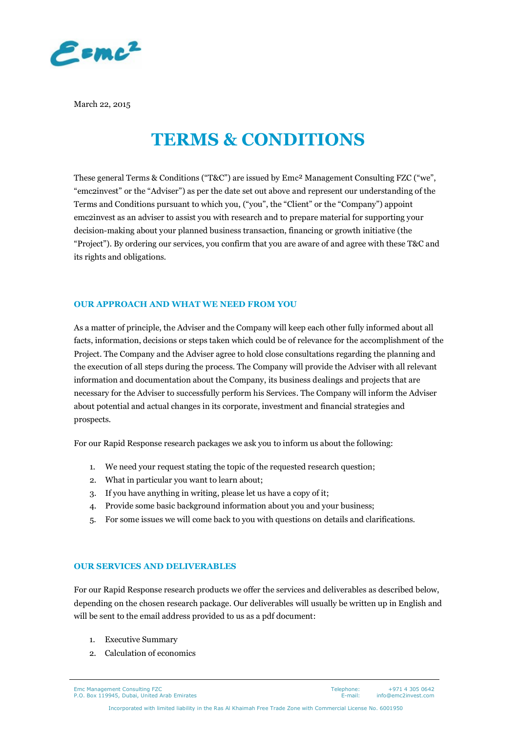

March 22, 2015

### **TERMS & CONDITIONS**

These general Terms & Conditions ("T&C") are issued by Emc² Management Consulting FZC ("we", "emc2invest" or the "Adviser") as per the date set out above and represent our understanding of the Terms and Conditions pursuant to which you, ("you", the "Client" or the "Company") appoint emc2invest as an adviser to assist you with research and to prepare material for supporting your decision-making about your planned business transaction, financing or growth initiative (the "Project"). By ordering our services, you confirm that you are aware of and agree with these T&C and its rights and obligations.

#### **OUR APPROACH AND WHAT WE NEED FROM YOU**

As a matter of principle, the Adviser and the Company will keep each other fully informed about all facts, information, decisions or steps taken which could be of relevance for the accomplishment of the Project. The Company and the Adviser agree to hold close consultations regarding the planning and the execution of all steps during the process. The Company will provide the Adviser with all relevant information and documentation about the Company, its business dealings and projects that are necessary for the Adviser to successfully perform his Services. The Company will inform the Adviser about potential and actual changes in its corporate, investment and financial strategies and prospects.

For our Rapid Response research packages we ask you to inform us about the following:

- 1. We need your request stating the topic of the requested research question;
- 2. What in particular you want to learn about;
- 3. If you have anything in writing, please let us have a copy of it;
- 4. Provide some basic background information about you and your business;
- 5. For some issues we will come back to you with questions on details and clarifications.

#### **OUR SERVICES AND DELIVERABLES**

For our Rapid Response research products we offer the services and deliverables as described below, depending on the chosen research package. Our deliverables will usually be written up in English and will be sent to the email address provided to us as a pdf document:

- 1. Executive Summary
- 2. Calculation of economics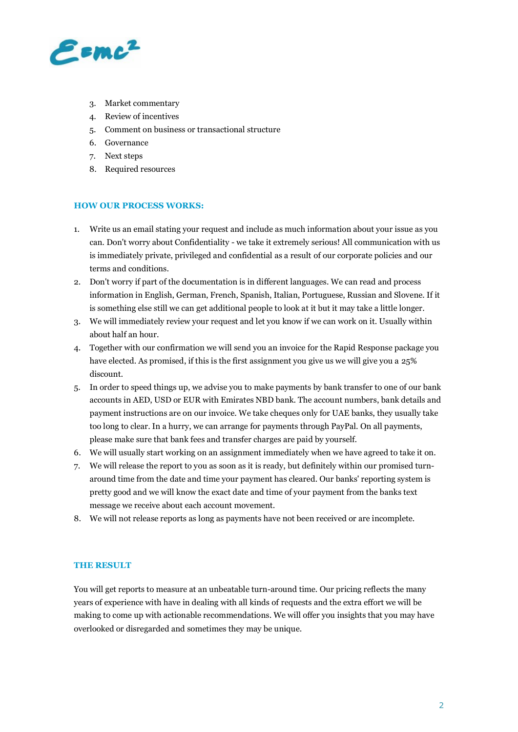

- 3. Market commentary
- 4. Review of incentives
- 5. Comment on business or transactional structure
- 6. Governance
- 7. Next steps
- 8. Required resources

#### **HOW OUR PROCESS WORKS:**

- 1. Write us an email stating your request and include as much information about your issue as you can. Don't worry about Confidentiality - we take it extremely serious! All communication with us is immediately private, privileged and confidential as a result of our corporate policies and our terms and conditions.
- 2. Don't worry if part of the documentation is in different languages. We can read and process information in English, German, French, Spanish, Italian, Portuguese, Russian and Slovene. If it is something else still we can get additional people to look at it but it may take a little longer.
- 3. We will immediately review your request and let you know if we can work on it. Usually within about half an hour.
- 4. Together with our confirmation we will send you an invoice for the Rapid Response package you have elected. As promised, if this is the first assignment you give us we will give you a 25% discount.
- 5. In order to speed things up, we advise you to make payments by bank transfer to one of our bank accounts in AED, USD or EUR with Emirates NBD bank. The account numbers, bank details and payment instructions are on our invoice. We take cheques only for UAE banks, they usually take too long to clear. In a hurry, we can arrange for payments through PayPal. On all payments, please make sure that bank fees and transfer charges are paid by yourself.
- 6. We will usually start working on an assignment immediately when we have agreed to take it on.
- 7. We will release the report to you as soon as it is ready, but definitely within our promised turnaround time from the date and time your payment has cleared. Our banks' reporting system is pretty good and we will know the exact date and time of your payment from the banks text message we receive about each account movement.
- 8. We will not release reports as long as payments have not been received or are incomplete.

#### **THE RESULT**

You will get reports to measure at an unbeatable turn-around time. Our pricing reflects the many years of experience with have in dealing with all kinds of requests and the extra effort we will be making to come up with actionable recommendations. We will offer you insights that you may have overlooked or disregarded and sometimes they may be unique.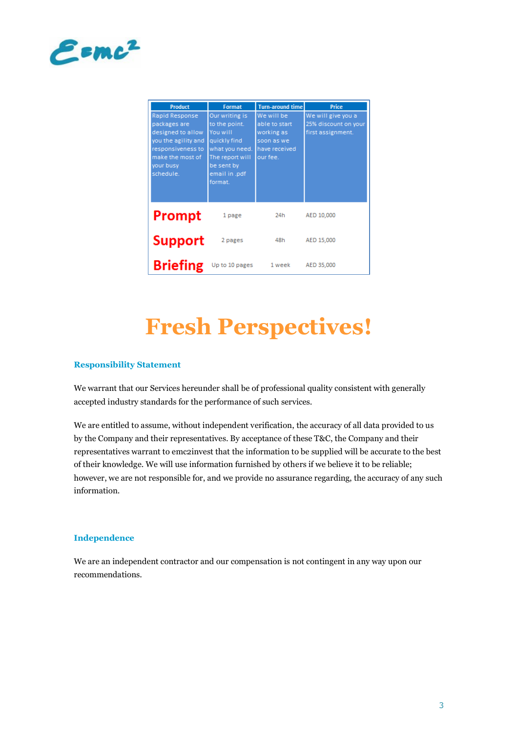

| <b>Product</b>                                                                                                                                | <b>Format</b>                                                                                                                              | <b>Turn-around time</b>                                                              | Price                                                           |
|-----------------------------------------------------------------------------------------------------------------------------------------------|--------------------------------------------------------------------------------------------------------------------------------------------|--------------------------------------------------------------------------------------|-----------------------------------------------------------------|
| Rapid Response<br>packages are<br>designed to allow<br>you the agility and<br>responsiveness to<br>make the most of<br>your busy<br>schedule. | Our writing is<br>to the point.<br>You will<br>quickly find<br>what you need.<br>The report will<br>be sent by<br>email in .pdf<br>format. | We will be<br>able to start<br>working as<br>soon as we<br>have received<br>our fee. | We will give you a<br>25% discount on your<br>first assignment. |
| Prompt                                                                                                                                        | 1 page                                                                                                                                     | 24h                                                                                  | AED 10,000                                                      |
| <b>Support</b>                                                                                                                                | 2 pages                                                                                                                                    | 48h                                                                                  | AED 15,000                                                      |
| Briefing                                                                                                                                      | Up to 10 pages                                                                                                                             | 1 week                                                                               | AED 35,000                                                      |

# **Fresh Perspectives!**

#### **Responsibility Statement**

We warrant that our Services hereunder shall be of professional quality consistent with generally accepted industry standards for the performance of such services.

We are entitled to assume, without independent verification, the accuracy of all data provided to us by the Company and their representatives. By acceptance of these T&C, the Company and their representatives warrant to emc2invest that the information to be supplied will be accurate to the best of their knowledge. We will use information furnished by others if we believe it to be reliable; however, we are not responsible for, and we provide no assurance regarding, the accuracy of any such information.

#### **Independence**

We are an independent contractor and our compensation is not contingent in any way upon our recommendations.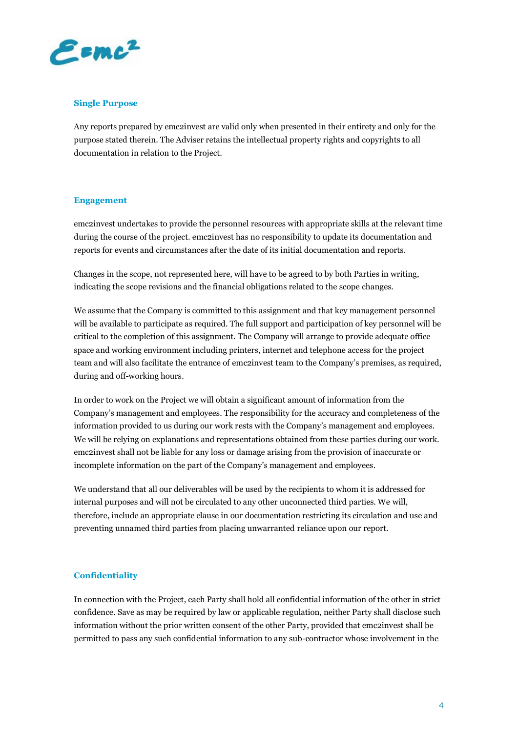

#### **Single Purpose**

Any reports prepared by emc2invest are valid only when presented in their entirety and only for the purpose stated therein. The Adviser retains the intellectual property rights and copyrights to all documentation in relation to the Project.

#### **Engagement**

emc2invest undertakes to provide the personnel resources with appropriate skills at the relevant time during the course of the project. emc2invest has no responsibility to update its documentation and reports for events and circumstances after the date of its initial documentation and reports.

Changes in the scope, not represented here, will have to be agreed to by both Parties in writing, indicating the scope revisions and the financial obligations related to the scope changes.

We assume that the Company is committed to this assignment and that key management personnel will be available to participate as required. The full support and participation of key personnel will be critical to the completion of this assignment. The Company will arrange to provide adequate office space and working environment including printers, internet and telephone access for the project team and will also facilitate the entrance of emc2invest team to the Company's premises, as required, during and off-working hours.

In order to work on the Project we will obtain a significant amount of information from the Company's management and employees. The responsibility for the accuracy and completeness of the information provided to us during our work rests with the Company's management and employees. We will be relying on explanations and representations obtained from these parties during our work. emc2invest shall not be liable for any loss or damage arising from the provision of inaccurate or incomplete information on the part of the Company's management and employees.

We understand that all our deliverables will be used by the recipients to whom it is addressed for internal purposes and will not be circulated to any other unconnected third parties. We will, therefore, include an appropriate clause in our documentation restricting its circulation and use and preventing unnamed third parties from placing unwarranted reliance upon our report.

#### **Confidentiality**

In connection with the Project, each Party shall hold all confidential information of the other in strict confidence. Save as may be required by law or applicable regulation, neither Party shall disclose such information without the prior written consent of the other Party, provided that emc2invest shall be permitted to pass any such confidential information to any sub-contractor whose involvement in the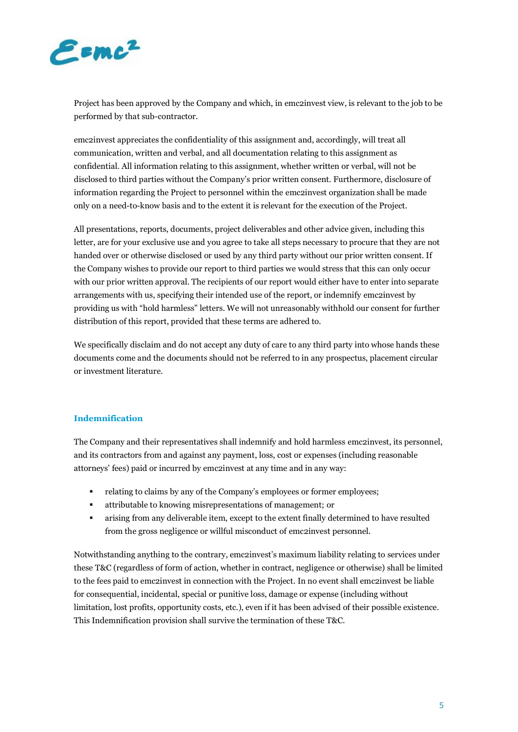

Project has been approved by the Company and which, in emc2invest view, is relevant to the job to be performed by that sub-contractor.

emc2invest appreciates the confidentiality of this assignment and, accordingly, will treat all communication, written and verbal, and all documentation relating to this assignment as confidential. All information relating to this assignment, whether written or verbal, will not be disclosed to third parties without the Company's prior written consent. Furthermore, disclosure of information regarding the Project to personnel within the emc2invest organization shall be made only on a need-to-know basis and to the extent it is relevant for the execution of the Project.

All presentations, reports, documents, project deliverables and other advice given, including this letter, are for your exclusive use and you agree to take all steps necessary to procure that they are not handed over or otherwise disclosed or used by any third party without our prior written consent. If the Company wishes to provide our report to third parties we would stress that this can only occur with our prior written approval. The recipients of our report would either have to enter into separate arrangements with us, specifying their intended use of the report, or indemnify emc2invest by providing us with "hold harmless" letters. We will not unreasonably withhold our consent for further distribution of this report, provided that these terms are adhered to.

We specifically disclaim and do not accept any duty of care to any third party into whose hands these documents come and the documents should not be referred to in any prospectus, placement circular or investment literature.

#### **Indemnification**

The Company and their representatives shall indemnify and hold harmless emc2invest, its personnel, and its contractors from and against any payment, loss, cost or expenses (including reasonable attorneys' fees) paid or incurred by emc2invest at any time and in any way:

- relating to claims by any of the Company's employees or former employees;
- attributable to knowing misrepresentations of management; or
- arising from any deliverable item, except to the extent finally determined to have resulted from the gross negligence or willful misconduct of emc2invest personnel.

Notwithstanding anything to the contrary, emc2invest's maximum liability relating to services under these T&C (regardless of form of action, whether in contract, negligence or otherwise) shall be limited to the fees paid to emc2invest in connection with the Project. In no event shall emc2invest be liable for consequential, incidental, special or punitive loss, damage or expense (including without limitation, lost profits, opportunity costs, etc.), even if it has been advised of their possible existence. This Indemnification provision shall survive the termination of these T&C.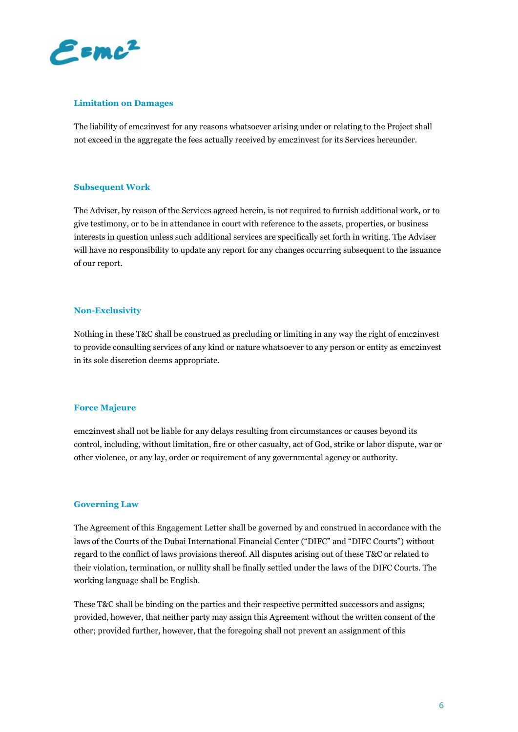

#### **Limitation on Damages**

The liability of emc2invest for any reasons whatsoever arising under or relating to the Project shall not exceed in the aggregate the fees actually received by emc2invest for its Services hereunder.

#### **Subsequent Work**

The Adviser, by reason of the Services agreed herein, is not required to furnish additional work, or to give testimony, or to be in attendance in court with reference to the assets, properties, or business interests in question unless such additional services are specifically set forth in writing. The Adviser will have no responsibility to update any report for any changes occurring subsequent to the issuance of our report.

#### **Non-Exclusivity**

Nothing in these T&C shall be construed as precluding or limiting in any way the right of emc2invest to provide consulting services of any kind or nature whatsoever to any person or entity as emc2invest in its sole discretion deems appropriate.

#### **Force Majeure**

emc2invest shall not be liable for any delays resulting from circumstances or causes beyond its control, including, without limitation, fire or other casualty, act of God, strike or labor dispute, war or other violence, or any lay, order or requirement of any governmental agency or authority.

#### **Governing Law**

The Agreement of this Engagement Letter shall be governed by and construed in accordance with the laws of the Courts of the Dubai International Financial Center ("DIFC" and "DIFC Courts") without regard to the conflict of laws provisions thereof. All disputes arising out of these T&C or related to their violation, termination, or nullity shall be finally settled under the laws of the DIFC Courts. The working language shall be English.

These T&C shall be binding on the parties and their respective permitted successors and assigns; provided, however, that neither party may assign this Agreement without the written consent of the other; provided further, however, that the foregoing shall not prevent an assignment of this